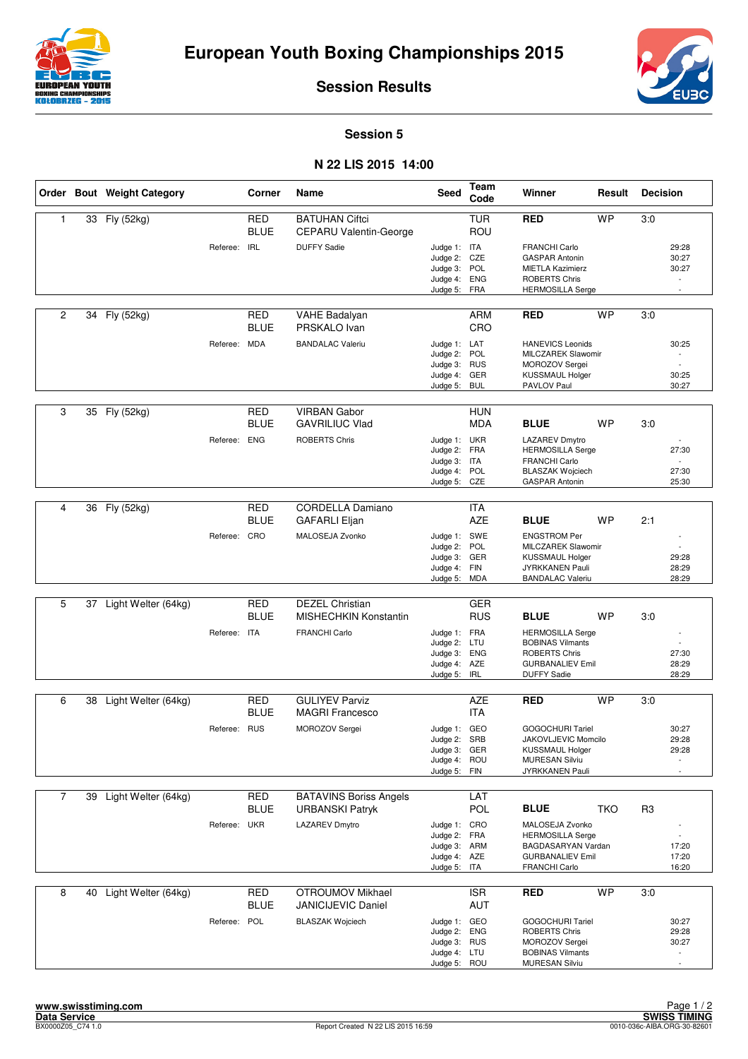



**Session Results**

**Session 5**

## **N 22 LIS 2015 14:00**

|                |    | Order Bout Weight Category |              | Corner                    | Name                                                   | <b>Seed</b>                                                                  | Team<br>Code                    | Winner                                                                                                                        | Result     | <b>Decision</b> |                                                               |
|----------------|----|----------------------------|--------------|---------------------------|--------------------------------------------------------|------------------------------------------------------------------------------|---------------------------------|-------------------------------------------------------------------------------------------------------------------------------|------------|-----------------|---------------------------------------------------------------|
| 1              |    | 33 Fly (52kg)              |              | <b>RED</b><br><b>BLUE</b> | <b>BATUHAN Ciftci</b><br><b>CEPARU Valentin-George</b> |                                                                              | <b>TUR</b><br>ROU               | <b>RED</b>                                                                                                                    | <b>WP</b>  | 3:0             |                                                               |
|                |    |                            | Referee: IRL |                           | <b>DUFFY Sadie</b>                                     | Judge 1: ITA<br>Judge 2: CZE<br>Judge 3: POL<br>Judge 4:<br>Judge 5:         | <b>ENG</b><br><b>FRA</b>        | <b>FRANCHI Carlo</b><br><b>GASPAR Antonin</b><br><b>MIETLA Kazimierz</b><br><b>ROBERTS Chris</b><br><b>HERMOSILLA Serge</b>   |            |                 | 29:28<br>30:27<br>30:27<br>$\sim$<br>$\sim$                   |
| 2              | 34 | Fly (52kg)                 |              | <b>RED</b><br><b>BLUE</b> | <b>VAHE Badalyan</b><br>PRSKALO Ivan                   |                                                                              | <b>ARM</b><br>CRO               | <b>RED</b>                                                                                                                    | <b>WP</b>  | 3:0             |                                                               |
|                |    |                            | Referee: MDA |                           | <b>BANDALAC Valeriu</b>                                | Judge 1: LAT<br>Judge 2:<br>Judge 3: RUS<br>Judge 4:<br>Judge 5:             | POL<br>GER<br><b>BUL</b>        | <b>HANEVICS Leonids</b><br>MILCZAREK Slawomir<br>MOROZOV Sergei<br><b>KUSSMAUL Holger</b><br>PAVLOV Paul                      |            |                 | 30:25<br>$\overline{a}$<br>30:25<br>30:27                     |
| 3              |    | 35 Fly (52kg)              |              | <b>RED</b>                | <b>VIRBAN Gabor</b>                                    |                                                                              | <b>HUN</b>                      |                                                                                                                               |            |                 |                                                               |
|                |    |                            | Referee: ENG | <b>BLUE</b>               | <b>GAVRILIUC Vlad</b><br><b>ROBERTS Chris</b>          | Judge 1: UKR<br>Judge 2:<br>Judge 3: ITA<br>Judge 4: POL<br>Judge 5:         | <b>MDA</b><br><b>FRA</b><br>CZE | <b>BLUE</b><br>LAZAREV Dmytro<br><b>HERMOSILLA Serge</b><br>FRANCHI Carlo<br><b>BLASZAK Wojciech</b><br><b>GASPAR Antonin</b> | <b>WP</b>  | 3:0             | 27:30<br>27:30<br>25:30                                       |
|                |    |                            |              |                           |                                                        |                                                                              |                                 |                                                                                                                               |            |                 |                                                               |
| 4              | 36 | Fly (52kg)                 |              | <b>RED</b><br><b>BLUE</b> | <b>CORDELLA Damiano</b><br><b>GAFARLI Eljan</b>        |                                                                              | ITA<br><b>AZE</b>               | <b>BLUE</b>                                                                                                                   | <b>WP</b>  | 2:1             |                                                               |
|                |    |                            | Referee: CRO |                           | MALOSEJA Zvonko                                        | Judge 1: SWE<br>Judge 2:<br>Judge 3: GER<br>Judge 4:<br>Judge 5:             | POL<br><b>FIN</b><br>MDA        | <b>ENGSTROM Per</b><br>MILCZAREK Slawomir<br><b>KUSSMAUL Holger</b><br><b>JYRKKANEN Pauli</b><br><b>BANDALAC Valeriu</b>      |            |                 | 29:28<br>28:29<br>28:29                                       |
|                |    |                            |              |                           |                                                        |                                                                              |                                 |                                                                                                                               |            |                 |                                                               |
| 5              | 37 | Light Welter (64kg)        |              | <b>RED</b><br><b>BLUE</b> | <b>DEZEL Christian</b><br><b>MISHECHKIN Konstantin</b> |                                                                              | <b>GER</b><br><b>RUS</b>        | <b>BLUE</b>                                                                                                                   | <b>WP</b>  | 3:0             |                                                               |
|                |    |                            | Referee: ITA |                           | <b>FRANCHI Carlo</b>                                   | Judge 1: FRA<br>Judge 2: LTU<br>Judge 3: ENG<br>Judge 4: AZE<br>Judge 5: IRL |                                 | <b>HERMOSILLA Serge</b><br><b>BOBINAS Vilmants</b><br><b>ROBERTS Chris</b><br><b>GURBANALIEV Emil</b><br><b>DUFFY Sadie</b>   |            |                 | 27:30<br>28:29<br>28:29                                       |
| 6              | 38 | Light Welter (64kg)        |              | <b>RED</b>                | <b>GULIYEV Parviz</b>                                  |                                                                              | <b>AZE</b>                      | <b>RED</b>                                                                                                                    | <b>WP</b>  | 3:0             |                                                               |
|                |    |                            |              | <b>BLUE</b>               | <b>MAGRI Francesco</b>                                 |                                                                              | <b>ITA</b>                      |                                                                                                                               |            |                 |                                                               |
|                |    |                            | Referee: RUS |                           | MOROZOV Sergei                                         | Judge 1: GEO<br>Judge 2: SRB<br>Judge 3: GER<br>Judge 4:<br>Judge 5:         | ROU<br><b>FIN</b>               | GOGOCHURI Tariel<br>JAKOVLJEVIC Momcilo<br>KUSSMAUL Holger<br><b>MURESAN Silviu</b><br>JYRKKANEN Pauli                        |            |                 | 30:27<br>29:28<br>29:28<br>$\overline{a}$                     |
| $\overline{7}$ | 39 | Light Welter (64kg)        |              | <b>RED</b>                | <b>BATAVINS Boriss Angels</b>                          |                                                                              | LAT                             |                                                                                                                               |            |                 |                                                               |
|                |    |                            |              | <b>BLUE</b>               | <b>URBANSKI Patryk</b>                                 |                                                                              | <b>POL</b>                      | <b>BLUE</b>                                                                                                                   | <b>TKO</b> | R <sub>3</sub>  |                                                               |
|                |    |                            | Referee: UKR |                           | <b>LAZAREV Dmytro</b>                                  | Judge 1: CRO<br>Judge 2:<br>Judge 3: ARM<br>Judge 4: AZE<br>Judge 5:         | FRA<br>ITA                      | MALOSEJA Zvonko<br><b>HERMOSILLA Serge</b><br>BAGDASARYAN Vardan<br><b>GURBANALIEV Emil</b><br><b>FRANCHI Carlo</b>           |            |                 | 17:20<br>17:20<br>16:20                                       |
| 8              | 40 | Light Welter (64kg)        |              | RED<br><b>BLUE</b>        | <b>OTROUMOV Mikhael</b><br>JANICIJEVIC Daniel          |                                                                              | <b>ISR</b><br>AUT               | <b>RED</b>                                                                                                                    | <b>WP</b>  | 3:0             |                                                               |
|                |    |                            | Referee: POL |                           | <b>BLASZAK Wojciech</b>                                | Judge 1: GEO<br>Judge 2: ENG<br>Judge 3: RUS<br>Judge 4: LTU<br>Judge 5: ROU |                                 | GOGOCHURI Tariel<br><b>ROBERTS Chris</b><br>MOROZOV Sergei<br><b>BOBINAS Vilmants</b><br><b>MURESAN Silviu</b>                |            |                 | 30:27<br>29:28<br>30:27<br>$\overline{\phantom{a}}$<br>$\sim$ |